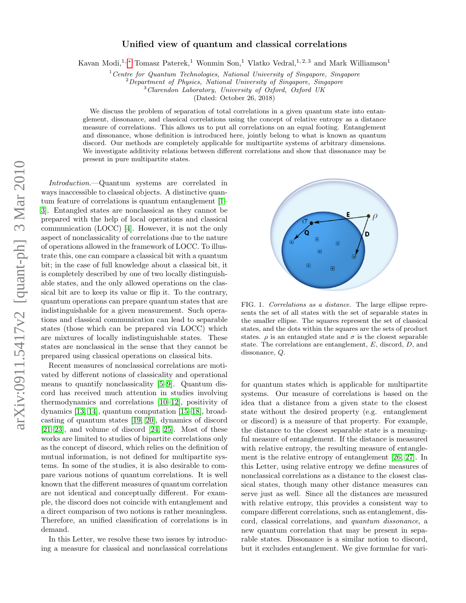## Unified view of quantum and classical correlations

Kavan Modi,<sup>1,\*</sup> Tomasz Paterek,<sup>1</sup> Wonmin Son,<sup>1</sup> Vlatko Vedral,<sup>1,2,3</sup> and Mark Williamson<sup>1</sup>

 $1$ <sup>1</sup> Centre for Quantum Technologies, National University of Singapore, Singapore

 $2$  Department of Physics, National University of Singapore, Singapore

<sup>3</sup>Clarendon Laboratory, University of Oxford, Oxford UK

(Dated: October 26, 2018)

We discuss the problem of separation of total correlations in a given quantum state into entanglement, dissonance, and classical correlations using the concept of relative entropy as a distance measure of correlations. This allows us to put all correlations on an equal footing. Entanglement and dissonance, whose definition is introduced here, jointly belong to what is known as quantum discord. Our methods are completely applicable for multipartite systems of arbitrary dimensions. We investigate additivity relations between different correlations and show that dissonance may be present in pure multipartite states.

Introduction.—Quantum systems are correlated in ways inaccessible to classical objects. A distinctive quantum feature of correlations is quantum entanglement [\[1–](#page-3-1) [3\]](#page-3-2). Entangled states are nonclassical as they cannot be prepared with the help of local operations and classical communication (LOCC) [\[4\]](#page-3-3). However, it is not the only aspect of nonclassicality of correlations due to the nature of operations allowed in the framework of LOCC. To illustrate this, one can compare a classical bit with a quantum bit; in the case of full knowledge about a classical bit, it is completely described by one of two locally distinguishable states, and the only allowed operations on the classical bit are to keep its value or flip it. To the contrary, quantum operations can prepare quantum states that are indistinguishable for a given measurement. Such operations and classical communication can lead to separable states (those which can be prepared via LOCC) which are mixtures of locally indistinguishable states. These states are nonclassical in the sense that they cannot be prepared using classical operations on classical bits.

Recent measures of nonclassical correlations are motivated by different notions of classicality and operational means to quantify nonclassicality [\[5](#page-3-4)[–9\]](#page-3-5). Quantum discord has received much attention in studies involving thermodynamics and correlations [\[10–](#page-3-6)[12\]](#page-3-7), positivity of dynamics [\[13,](#page-3-8) [14\]](#page-3-9), quantum computation [\[15](#page-3-10)[–18\]](#page-3-11), broadcasting of quantum states [\[19,](#page-3-12) [20\]](#page-4-0), dynamics of discord [\[21–](#page-4-1)[23\]](#page-4-2), and volume of discord [\[24,](#page-4-3) [25\]](#page-4-4). Most of these works are limited to studies of bipartite correlations only as the concept of discord, which relies on the definition of mutual information, is not defined for multipartite systems. In some of the studies, it is also desirable to compare various notions of quantum correlations. It is well known that the different measures of quantum correlation are not identical and conceptually different. For example, the discord does not coincide with entanglement and a direct comparison of two notions is rather meaningless. Therefore, an unified classification of correlations is in demand.

In this Letter, we resolve these two issues by introducing a measure for classical and nonclassical correlations



FIG. 1. Correlations as a distance. The large ellipse represents the set of all states with the set of separable states in the smaller ellipse. The squares represent the set of classical states, and the dots within the squares are the sets of product states.  $\rho$  is an entangled state and  $\sigma$  is the closest separable state. The correlations are entanglement, E, discord, D, and dissonance, Q.

for quantum states which is applicable for multipartite systems. Our measure of correlations is based on the idea that a distance from a given state to the closest state without the desired property (e.g. entanglement or discord) is a measure of that property. For example, the distance to the closest separable state is a meaningful measure of entanglement. If the distance is measured with relative entropy, the resulting measure of entanglement is the relative entropy of entanglement [\[26,](#page-4-5) [27\]](#page-4-6). In this Letter, using relative entropy we define measures of nonclassical correlations as a distance to the closest classical states, though many other distance measures can serve just as well. Since all the distances are measured with relative entropy, this provides a consistent way to compare different correlations, such as entanglement, discord, classical correlations, and quantum dissonance, a new quantum correlation that may be present in separable states. Dissonance is a similar notion to discord, but it excludes entanglement. We give formulae for vari-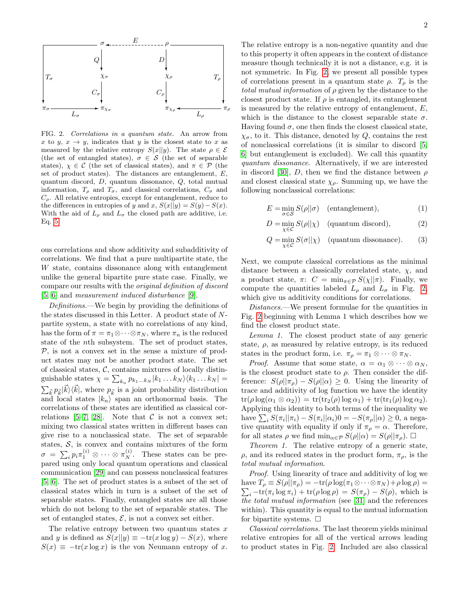

<span id="page-1-0"></span>FIG. 2. Correlations in a quantum state. An arrow from x to y,  $x \to y$ , indicates that y is the closest state to x as measured by the relative entropy  $S(x||y)$ . The state  $\rho \in \mathcal{E}$ (the set of entangled states),  $\sigma \in \mathcal{S}$  (the set of separable states),  $\chi \in \mathcal{C}$  (the set of classical states), and  $\pi \in \mathcal{P}$  (the set of product states). The distances are entanglement,  $E$ , quantum discord, D, quantum dissonance, Q, total mutual information,  $T_{\rho}$  and  $T_{\sigma}$ , and classical correlations,  $C_{\sigma}$  and  $C_{\rho}$ . All relative entropies, except for entanglement, reduce to the differences in entropies of y and x,  $S(x||y) = S(y) - S(x)$ . With the aid of  $L_{\rho}$  and  $L_{\sigma}$  the closed path are additive, i.e. Eq. [5.](#page-2-0)

ous correlations and show additivity and subadditivity of correlations. We find that a pure multipartite state, the W state, contains dissonance along with entanglement unlike the general bipartite pure state case. Finally, we compare our results with the original definition of discord [\[5,](#page-3-4) [6\]](#page-3-13) and measurement induced disturbance [\[9\]](#page-3-5).

Definitions.—We begin by providing the definitions of the states discussed in this Letter. A product state of Npartite system, a state with no correlations of any kind, has the form of  $\pi = \pi_1 \otimes \cdots \otimes \pi_N$ , where  $\pi_n$  is the reduced state of the nth subsystem. The set of product states,  $P$ , is not a convex set in the sense a mixture of product states may not be another product state. The set of classical states,  $C$ , contains mixtures of locally distinguishable states  $\chi = \sum_{k_n} p_{k_1...k_N} |k_1...k_N\rangle \langle k_1...k_N| =$  $\sum_{\vec{k}} p_{\vec{k}} | \vec{k} \rangle \langle \vec{k} |$ , where  $p_{\vec{k}}$  is a joint probability distribution and local states  $|k_n\rangle$  span an orthonormal basis. The correlations of these states are identified as classical cor-relations [\[5](#page-3-4)[–7,](#page-3-14) [28\]](#page-4-7). Note that  $\mathcal C$  is not a convex set; mixing two classical states written in different bases can give rise to a nonclassical state. The set of separable states,  $S$ , is convex and contains mixtures of the form  $\sigma = \sum_i p_i \pi_1^{(i)} \otimes \cdots \otimes \pi_N^{(i)}$ . These states can be prepared using only local quantum operations and classical communication [\[29\]](#page-4-8) and can possess nonclassical features [\[5,](#page-3-4) [6\]](#page-3-13). The set of product states is a subset of the set of classical states which in turn is a subset of the set of separable states. Finally, entangled states are all those which do not belong to the set of separable states. The set of entangled states,  $\mathcal{E}$ , is not a convex set either.

The relative entropy between two quantum states  $x$ and y is defined as  $S(x||y) \equiv -\text{tr}(x \log y) - S(x)$ , where  $S(x) \equiv -\text{tr}(x \log x)$  is the von Neumann entropy of x.

The relative entropy is a non-negative quantity and due to this property it often appears in the context of distance measure though technically it is not a distance, e.g. it is not symmetric. In Fig. [2,](#page-1-0) we present all possible types of correlations present in a quantum state  $\rho$ .  $T_{\rho}$  is the total mutual information of  $\rho$  given by the distance to the closest product state. If  $\rho$  is entangled, its entanglement is measured by the relative entropy of entanglement, E, which is the distance to the closest separable state  $\sigma$ . Having found  $\sigma$ , one then finds the closest classical state,  $\chi_{\sigma}$ , to it. This distance, denoted by Q, contains the rest of nonclassical correlations (it is similar to discord [\[5,](#page-3-4) [6\]](#page-3-13) but entanglement is excluded). We call this quantity quantum dissonance. Alternatively, if we are interested in discord [\[30\]](#page-4-9), D, then we find the distance between  $\rho$ and closest classical state  $\chi_{\rho}$ . Summing up, we have the following nonclassical correlations:

$$
E = \min_{\sigma \in \mathcal{S}} S(\rho || \sigma) \quad \text{(entanglement)}, \tag{1}
$$

<span id="page-1-1"></span>
$$
D = \min_{\chi \in \mathcal{C}} S(\rho || \chi) \quad \text{(quantum discord)}, \tag{2}
$$

$$
Q = \min_{\chi \in \mathcal{C}} S(\sigma || \chi) \quad \text{(quantum dissonance)}.
$$
 (3)

Next, we compute classical correlations as the minimal distance between a classically correlated state,  $\chi$ , and a product state,  $\pi$ :  $C = \min_{\pi \in \mathcal{P}} S(\chi || \pi)$ . Finally, we compute the quantities labeled  $L_{\rho}$  and  $L_{\sigma}$  in Fig. [2,](#page-1-0) which give us additivity conditions for correlations.

Distances.—We present formulae for the quantities in Fig. [2](#page-1-0) beginning with Lemma 1 which describes how we find the closest product state.

Lemma 1. The closest product state of any generic state,  $\rho$ , as measured by relative entropy, is its reduced states in the product form, i.e.  $\pi_{\rho} = \pi_1 \otimes \cdots \otimes \pi_N$ .

*Proof.* Assume that some state,  $\alpha = \alpha_1 \otimes \cdots \otimes \alpha_N$ , is the closest product state to  $\rho$ . Then consider the difference:  $S(\rho||\pi_{\rho}) - S(\rho||\alpha) \geq 0$ . Using the linearity of trace and additivity of log function we have the identity  $tr(\rho \log(\alpha_1 \otimes \alpha_2)) = tr(tr_2(\rho) \log \alpha_1) + tr(tr_1(\rho) \log \alpha_2).$ Applying this identity to both terms of the inequality we have  $\sum_i S(\pi_i || \pi_i) - S(\pi_i || \alpha_i)0 = -S(\pi_\rho || \alpha) \geq 0$ , a negative quantity with equality if only if  $\pi_{\rho} = \alpha$ . Therefore, for all states  $\rho$  we find  $\min_{\alpha \in \mathcal{P}} S(\rho || \alpha) = S(\rho || \pi_{\rho}).$ 

Theorem 1. The relative entropy of a generic state,  $\rho$ , and its reduced states in the product form,  $\pi_{\rho}$ , is the total mutual information.

Proof. Using linearity of trace and additivity of log we  $\sum_i -\text{tr}(\pi_i \log \pi_i) + \text{tr}(\rho \log \rho) = S(\pi_\rho) - S(\rho)$ , which is have  $T_{\rho} \equiv S(\rho || \pi_{\rho}) = -\text{tr}(\rho \log(\pi_1 \otimes \cdots \otimes \pi_N) + \rho \log \rho) =$ the total mutual information (see [\[31\]](#page-4-10) and the references within). This quantity is equal to the mutual information for bipartite systems.  $\Box$ 

Classical correlations. The last theorem yields minimal relative entropies for all of the vertical arrows leading to product states in Fig. [2.](#page-1-0) Included are also classical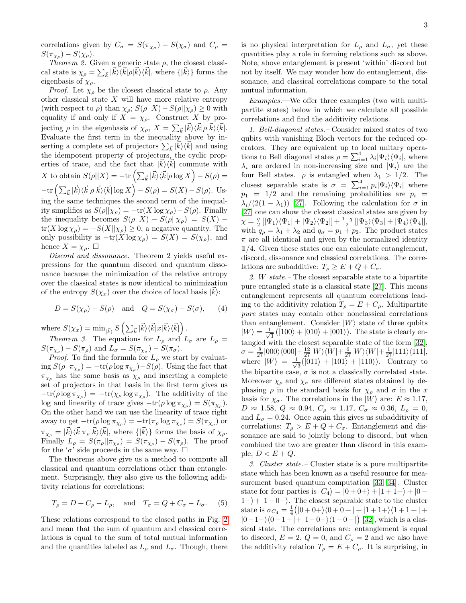correlations given by  $C_{\sigma} = S(\pi_{\chi_{\sigma}}) - S(\chi_{\sigma})$  and  $C_{\rho} =$  $S(\pi_{\chi_{\rho}}) - S(\chi_{\rho}).$ 

Theorem 2. Given a generic state  $\rho$ , the closest classical state is  $\chi_{\rho} = \sum_{\vec{k}} |\vec{k}\rangle \langle \vec{k}|\rho |\vec{k}\rangle \langle \vec{k}|$ , where  $\{|\vec{k}\rangle\}$  forms the eigenbasis of  $\chi_{\rho}$ .

*Proof.* Let  $\chi_{\rho}$  be the closest classical state to  $\rho$ . Any other classical state  $X$  will have more relative entropy (with respect to  $\rho$ ) than  $\chi_{\rho}$ ;  $S(\rho||X) - S(\rho||\chi_{\rho}) \geq 0$  with equality if and only if  $X = \chi_{\rho}$ . Construct X by projecting  $\rho$  in the eigenbasis of  $\chi_{\rho}, X = \sum_{\vec{k}} |\vec{k}\rangle \langle \vec{k}|\rho |\vec{k}\rangle \langle \vec{k}|.$ Evaluate the first term in the inequality above by inserting a complete set of projectors  $\sum_{\vec{k}} |\vec{k}\rangle\langle \vec{k}|$  and using the idempotent property of projectors, the cyclic properties of trace, and the fact that  $|\vec{k}\rangle\langle\vec{k}|$  commute with X to obtain  $S(\rho || X) = -\text{tr}\left(\sum_{\vec{k}} |\vec{k}\rangle \langle \vec{k}| \rho \log X\right) - S(\rho) =$  $-\text{tr}\left(\sum_{\vec{k}}|\vec{k}\rangle\langle\vec{k}|\rho|\vec{k}\rangle\langle\vec{k}|\log X\right)-S(\rho)=S(X)-S(\rho).$  Using the same techniques the second term of the inequality simplifies as  $S(\rho||\chi_{\rho}) = -\text{tr}(X \log \chi_{\rho}) - S(\rho)$ . Finally the inequality becomes  $S(\rho||X) - S(\rho||\chi_{\rho}) = S(X)$  –  $tr(X \log \chi_{\rho}) = -S(X||\chi_{\rho}) \geq 0$ , a negative quantity. The only possibility is  $-\text{tr}(X \log \chi_{\rho}) = S(X) = S(\chi_{\rho})$ , and hence  $X = \chi_{\rho}$ .  $\Box$ 

Discord and dissonance. Theorem 2 yields useful expressions for the quantum discord and quantum dissonance because the minimization of the relative entropy over the classical states is now identical to minimization of the entropy  $S(\chi_x)$  over the choice of local basis  $|\vec{k}\rangle$ :

$$
D = S(\chi_{\rho}) - S(\rho) \quad \text{and} \quad Q = S(\chi_{\sigma}) - S(\sigma), \qquad (4)
$$

where  $S(\chi_x) = \min_{|\vec{k}\rangle} S(\sum_{\vec{k}} |\vec{k}\rangle \langle \vec{k}|x|\vec{k}\rangle \langle \vec{k}|).$ 

*Theorem 3.* The equations for  $L_{\rho}$  and  $L_{\sigma}$  are  $L_{\rho}$  =  $S(\pi_{\chi_{\rho}}) - S(\pi_{\rho})$  and  $L_{\sigma} = S(\pi_{\chi_{\sigma}}) - S(\pi_{\sigma}).$ 

*Proof.* To find the formula for  $L_{\rho}$  we start by evaluat- $\log S(\rho || \pi_{\chi_{\rho}}) = -\text{tr}(\rho \log \pi_{\chi_{\rho}}) - S(\rho)$ . Using the fact that  $\pi_{\chi_{\rho}}$  has the same basis as  $\chi_{\rho}$  and inserting a complete set of projectors in that basis in the first term gives us  $-\text{tr}(\rho \log \pi_{\chi_{\rho}}) = -\text{tr}(\chi_{\rho} \log \pi_{\chi_{\rho}})$ . The additivity of the log and linearity of trace gives  $-\text{tr}(\rho \log \pi_{\chi_{\rho}}) = S(\pi_{\chi_{\rho}})$ . On the other hand we can use the linearity of trace right away to get  $-\text{tr}(\rho \log \pi_{\chi_{\rho}}) = -\text{tr}(\pi_{\rho} \log \pi_{\chi_{\rho}}) = S(\pi_{\chi_{\rho}})$  or  $\pi_{\chi_{\rho}} = |\vec{k}\rangle\langle\vec{k}|\pi_{\rho}|\vec{k}\rangle\langle\vec{k}|$ , where  $\{|\vec{k}\rangle\}$  forms the basis of  $\chi_{\rho}$ . Finally  $L_{\rho} = S(\pi_{\rho} || \pi_{\chi_{\rho}}) = S(\pi_{\chi_{\rho}}) - S(\pi_{\rho}).$  The proof for the ' $\sigma$ ' side proceeds in the same way.  $\Box$ 

The theorems above give us a method to compute all classical and quantum correlations other than entanglement. Surprisingly, they also give us the following additivity relations for correlations:

$$
T_{\rho} = D + C_{\rho} - L_{\rho}, \quad \text{and} \quad T_{\sigma} = Q + C_{\sigma} - L_{\sigma}. \tag{5}
$$

These relations correspond to the closed paths in Fig. [2](#page-1-0) and mean that the sum of quantum and classical correlations is equal to the sum of total mutual information and the quantities labeled as  $L_{\rho}$  and  $L_{\sigma}$ . Though, there

is no physical interpretation for  $L_{\rho}$  and  $L_{\sigma}$ , yet these quantities play a role in forming relations such as above. Note, above entanglement is present 'within' discord but not by itself. We may wonder how do entanglement, dissonance, and classical correlations compare to the total mutual information.

Examples.—We offer three examples (two with multipartite states) below in which we calculate all possible correlations and find the additivity relations.

1. Bell-diagonal states.– Consider mixed states of two qubits with vanishing Bloch vectors for the reduced operators. They are equivalent up to local unitary operations to Bell diagonal states  $\rho = \sum_{i=1}^{4} \lambda_i |\Psi_i\rangle\langle\Psi_i|$ , where  $\lambda_i$  are ordered in non-increasing size and  $|\Psi_i\rangle$  are the four Bell states.  $\rho$  is entangled when  $\lambda_1 > 1/2$ . The closest separable state is  $\sigma = \sum_{i=1}^{4} p_i |\Psi_i\rangle\langle\Psi_i|$  where  $p_1 = 1/2$  and the remaining probabilities are  $p_i =$  $\lambda_i/(2(1-\lambda_1))$  [\[27\]](#page-4-6). Following the calculation for  $\sigma$  in [\[27\]](#page-4-6) one can show the closest classical states are given by  $\chi = \frac{q}{2} [|\Psi_1\rangle\langle\Psi_1| + |\Psi_2\rangle\langle\Psi_2|] + \frac{1-q}{2} [|\Psi_3\rangle\langle\Psi_3| + |\Psi_4\rangle\langle\Psi_4|],$ with  $q_{\rho} = \lambda_1 + \lambda_2$  and  $q_{\sigma} = p_1 + p_2$ . The product states  $\pi$  are all identical and given by the normalized identity 11/4. Given these states one can calculate entanglement, discord, dissonance and classical correlations. The correlations are subadditive:  $T_{\rho} \geq E + Q + C_{\sigma}$ .

2. W state.– The closest separable state to a bipartite pure entangled state is a classical state [\[27\]](#page-4-6). This means entanglement represents all quantum correlations leading to the additivity relation  $T_{\rho} = E + C_{\rho}$ . Multipartite pure states may contain other nonclassical correlations than entanglement. Consider  $|W\rangle$  state of three qubits  $|W\rangle = \frac{1}{\sqrt{2}}$  $\frac{1}{3}$  (|100) + |010) + |001)). The state is clearly entangled with the closest separable state of the form [\[32\]](#page-4-11),  $\sigma = \frac{8}{27} |000\rangle\langle000| + \frac{12}{27} |W\rangle\langle W| + \frac{6}{27} |\overline{W}\rangle\langle\overline{W}| + \frac{1}{27} |111\rangle\langle111|,$ where  $|\overline{W}\rangle = \frac{1}{\sqrt{2}}$  $\frac{1}{3}(|011\rangle + |101\rangle + |110\rangle)$ . Contrary to the bipartite case,  $\sigma$  is not a classically correlated state. Moreover  $\chi_{\rho}$  and  $\chi_{\sigma}$  are different states obtained by dephasing  $\rho$  in the standard basis for  $\chi_{\rho}$  and  $\sigma$  in the x basis for  $\chi_{\sigma}$ . The correlations in the  $|W\rangle$  are:  $E \approx 1.17$ ,  $D \approx 1.58, Q \approx 0.94, C_{\rho} \approx 1.17, C_{\sigma} \approx 0.36, L_{\rho} = 0,$ and  $L_{\sigma} = 0.24$ . Once again this gives us subadditivity of correlations:  $T_{\rho} > E + Q + C_{\sigma}$ . Entanglement and dissonance are said to jointly belong to discord, but when combined the two are greater than discord in this example,  $D < E + Q$ .

<span id="page-2-0"></span>3. Cluster state.– Cluster state is a pure multipartite state which has been known as a useful resource for measurement based quantum computation [\[33,](#page-4-12) [34\]](#page-4-13). Cluster state for four parties is  $|C_4\rangle = |0+0+\rangle + |1+1+\rangle + |0 1-\rangle+|1-0-\rangle$ . The closest separable state to the cluster state is  $\sigma_{C_4} = \frac{1}{4} (|0+0+\rangle \langle 0+0+| + |1+1+\rangle \langle 1+1+| +$  $|0-1-\rangle$  $\langle 0-1-|+|1-0-\rangle$  $\langle 1-0-|$  [\[32\]](#page-4-11), which is a classical state. The correlations are: entanglement is equal to discord,  $E = 2$ ,  $Q = 0$ , and  $C_{\rho} = 2$  and we also have the additivity relation  $T_{\rho} = E + C_{\rho}$ . It is surprising, in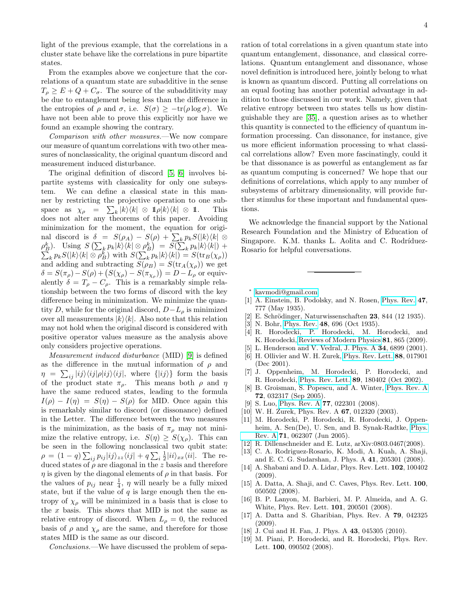light of the previous example, that the correlations in a cluster state behave like the correlations in pure bipartite states.

From the examples above we conjecture that the correlations of a quantum state are subadditive in the sense  $T_{\rho} \geq E + Q + C_{\sigma}$ . The source of the subadditivity may be due to entanglement being less than the difference in the entropies of  $\rho$  and  $\sigma$ , i.e.  $S(\sigma) \geq -\text{tr}(\rho \log \sigma)$ . We have not been able to prove this explicitly nor have we found an example showing the contrary.

Comparison with other measures.—We now compare our measure of quantum correlations with two other measures of nonclassicality, the original quantum discord and measurement induced disturbance.

The original definition of discord [\[5,](#page-3-4) [6\]](#page-3-13) involves bipartite systems with classicality for only one subsystem. We can define a classical state in this manner by restricting the projective operation to one subspace as  $\chi_{\rho} = \sum_{k} |k\rangle\langle k| \otimes 1\!\!1\rho |k\rangle\langle k| \otimes 1\!\!1.$  This does not alter any theorems of this paper. Avoiding minimization for the moment, the equation for original discord is  $\delta = S(\rho_A) - S(\rho) + \sum_k p_k S(|k\rangle\langle k| \otimes$  $\rho_B^k$ ). Using  $S\left(\sum_k p_k |k\rangle\langle k| \otimes \rho_B^k\right) = S(\sum_k p_k S(|k\rangle\langle k| \otimes \rho_B^k))$  with  $S(\sum_k p_k |k\rangle\langle k|) =$  $p_k|k\rangle\langle k|) +$  $k p_k S(|k\rangle\langle k| \otimes \rho_B^k)$  with  $S(\sum_k p_k |k\rangle\langle k|) = S(\text{tr}_B(\chi_\rho))$ and adding and subtracting  $S(\rho_B) = S(\text{tr}_A(\chi_\rho))$  we get  $\delta = S(\pi_{\rho}) - S(\rho) + (S(\chi_{\rho}) - S(\pi_{\chi_{\rho}})) = D - L_{\rho}$  or equivalently  $\delta = T_{\rho} - C_{\rho}$ . This is a remarkably simple relationship between the two forms of discord with the key difference being in minimization. We minimize the quantity D, while for the original discord,  $D-L_{\rho}$  is minimized over all measurements  $|k\rangle\langle k|$ . Also note that this relation may not hold when the original discord is considered with positive operator values measure as the analysis above only considers projective operations.

Measurement induced disturbance (MID) [\[9\]](#page-3-5) is defined as the difference in the mutual information of  $\rho$  and  $\eta = \sum_{ij} |ij\rangle\langle ij|\rho|ij\rangle\langle ij|$ , where  $\{|ij\rangle\}$  form the basis of the product state  $\pi_{\rho}$ . This means both  $\rho$  and  $\eta$ have the same reduced states, leading to the formula  $I(\rho) - I(\eta) = S(\eta) - S(\rho)$  for MID. Once again this is remarkably similar to discord (or dissonance) defined in the Letter. The difference between the two measures is the minimization, as the basis of  $\pi_{\rho}$  may not minimize the relative entropy, i.e.  $S(\eta) \geq S(\chi_{\rho})$ . This can be seen in the following nonclassical two qubit state:  $\rho = (1-q)\sum_{ij} p_{ij} |ij\rangle_{zz} \langle ij| + q \sum_{i} \frac{1}{2} |ii\rangle_{xx} \langle ii|$ . The reduced states of  $\rho$  are diagonal in the z basis and therefore  $\eta$  is given by the diagonal elements of  $\rho$  in that basis. For the values of  $p_{ij}$  near  $\frac{1}{4}$ ,  $\eta$  will nearly be a fully mixed state, but if the value of  $q$  is large enough then the entropy of  $\chi_{\rho}$  will be minimized in a basis that is close to the  $x$  basis. This shows that MID is not the same as relative entropy of discord. When  $L_{\rho} = 0$ , the reduced basis of  $\rho$  and  $\chi_{\rho}$  are the same, and therefore for those states MID is the same as our discord.

Conclusions.—We have discussed the problem of sepa-

ration of total correlations in a given quantum state into quantum entanglement, dissonance, and classical correlations. Quantum entanglement and dissonance, whose novel definition is introduced here, jointly belong to what is known as quantum discord. Putting all correlations on an equal footing has another potential advantage in addition to those discussed in our work. Namely, given that relative entropy between two states tells us how distinguishable they are [\[35\]](#page-4-14), a question arises as to whether this quantity is connected to the efficiency of quantum information processing. Can dissonance, for instance, give us more efficient information processing to what classical correlations allow? Even more fascinatingly, could it be that dissonance is as powerful as entanglement as far as quantum computing is concerned? We hope that our definitions of correlations, which apply to any number of subsystems of arbitrary dimensionality, will provide further stimulus for these important and fundamental questions.

We acknowledge the financial support by the National Research Foundation and the Ministry of Education of Singapore. K.M. thanks L. Aolita and C. Rodríduez-Rosario for helpful conversations.

<span id="page-3-0"></span>∗ [kavmodi@gmail.com](mailto:kavmodi@gmail.com)

- <span id="page-3-1"></span>[1] A. Einstein, B. Podolsky, and N. Rosen, [Phys. Rev.](http://dx.doi.org/10.1103/PhysRev.47.777) 47, 777 (May 1935).
- [2] E. Schrödinger, Naturwissenschaften  $23$ , 844 (12 1935).
- <span id="page-3-2"></span>[3] N. Bohr, [Phys. Rev.](http://dx.doi.org/10.1103/PhysRev.48.696) 48, 696 (Oct 1935).
- <span id="page-3-3"></span>[4] R. Horodecki, P. Horodecki, M. Horodecki, and K. Horodecki, [Reviews of Modern Physics](http://dx.doi.org/10.1103/RevModPhys.81.865) 81, 865 (2009).
- <span id="page-3-4"></span>[5] L. Henderson and V. Vedral, J. Phys. A **34**, 6899 (2001).
- <span id="page-3-13"></span>[6] H. Ollivier and W. H. Zurek, [Phys. Rev. Lett.](http://dx.doi.org/10.1103/PhysRevLett.88.017901) 88, 017901 (Dec 2001).
- <span id="page-3-14"></span>[7] J. Oppenheim, M. Horodecki, P. Horodecki, and R. Horodecki, [Phys. Rev. Lett.](http://dx.doi.org/10.1103/PhysRevLett.89.180402) 89, 180402 (Oct 2002).
- [8] B. Groisman, S. Popescu, and A. Winter, [Phys. Rev. A](http://dx.doi.org/10.1103/PhysRevA.72.032317) 72, 032317 (Sep 2005).
- <span id="page-3-5"></span>[9] S. Luo, [Phys. Rev. A](http://dx.doi.org/10.1103/PhysRevA.77.022301) **77**, 022301 (2008).
- <span id="page-3-6"></span>[10] W. H. Zurek, Phys. Rev. A **67**, 012320 (2003).
- [11] M. Horodecki, P. Horodecki, R. Horodecki, J. Oppenheim, A. Sen(De), U. Sen, and B. Synak-Radtke, [Phys.](http://dx.doi.org/10.1103/PhysRevA.71.062307) [Rev. A](http://dx.doi.org/10.1103/PhysRevA.71.062307) 71, 062307 (Jun 2005).
- <span id="page-3-7"></span>[12] R. Dillenschneider and E. Lutz, arXiv:0803.0467(2008).
- <span id="page-3-8"></span>[13] C. A. Rodriguez-Rosario, K. Modi, A. Kuah, A. Shaji, and E. C. G. Sudarshan, J. Phys. A 41, 205301 (2008).
- <span id="page-3-9"></span>[14] A. Shabani and D. A. Lidar, Phys. Rev. Lett. 102, 100402 (2009).
- <span id="page-3-10"></span>[15] A. Datta, A. Shaji, and C. Caves, Phys. Rev. Lett. 100, 050502 (2008).
- [16] B. P. Lanyon, M. Barbieri, M. P. Almeida, and A. G. White, Phys. Rev. Lett. 101, 200501 (2008).
- [17] A. Datta and S. Gharibian, Phys. Rev. A 79, 042325 (2009).
- <span id="page-3-11"></span>[18] J. Cui and H. Fan, J. Phys. A 43, 045305 (2010).
- <span id="page-3-12"></span>[19] M. Piani, P. Horodecki, and R. Horodecki, Phys. Rev. Lett. 100, 090502 (2008).